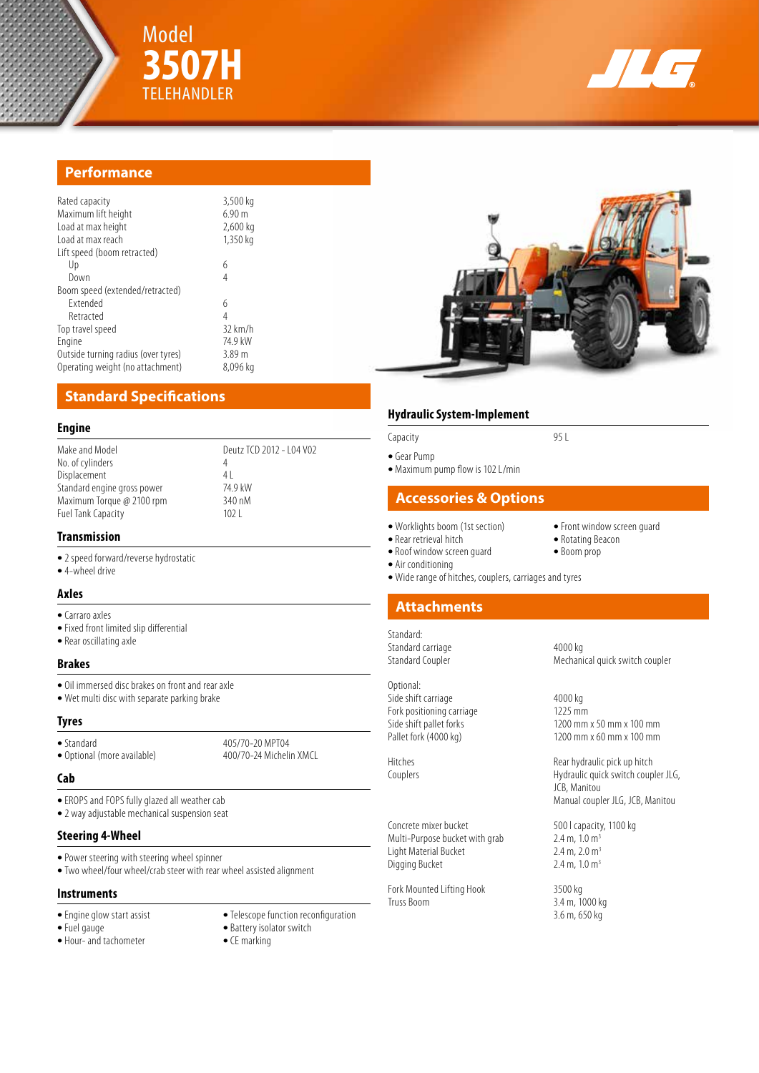



# **Performance**

| Rated capacity<br>Maximum lift height<br>Load at max height<br>Load at max reach | 3,500 kg<br>6.90 m<br>2,600 kg<br>1,350 kg |
|----------------------------------------------------------------------------------|--------------------------------------------|
| Lift speed (boom retracted)                                                      |                                            |
| Up                                                                               | 6                                          |
| Down                                                                             | 4                                          |
| Boom speed (extended/retracted)                                                  |                                            |
| <b>Fxtended</b>                                                                  | 6                                          |
| Retracted                                                                        | 4                                          |
| Top travel speed                                                                 | $32$ km/h                                  |
| Engine                                                                           | 74 9 kW                                    |
| Outside turning radius (over tyres)                                              | 3.89 m                                     |
| Operating weight (no attachment)                                                 | 8,096 kg                                   |

**3507H**

# **Standard Specifications**

#### **Engine**

| Make and Model              | Deutz TCD 2012 - 104 V02 |
|-----------------------------|--------------------------|
| No. of cylinders            | 4                        |
| Displacement                | 4                        |
| Standard engine gross power | 74.9 kW                  |
| Maximum Torque @ 2100 rpm   | 340 nM                   |
| <b>Fuel Tank Capacity</b>   | 1021                     |
|                             |                          |

# **Transmission**

- **•** 2 speed forward/reverse hydrostatic
- **•** 4-wheel drive

#### **Axles**

- **•** Carraro axles
- **•** Fixed front limited slip differential
- **•** Rear oscillating axle

## **Brakes**

- **•** Oil immersed disc brakes on front and rear axle
- **•** Wet multi disc with separate parking brake

#### **Tyres**

• Standard 405/70-20 MPT04<br>• Optional (more available) 400/70-24 Michelin XMCL • Optional (more available)

#### **Cab**

- **•** EROPS and FOPS fully glazed all weather cab
- **•** 2 way adjustable mechanical suspension seat

#### **Steering 4-Wheel**

- **•** Power steering with steering wheel spinner
- **•** Two wheel/four wheel/crab steer with rear wheel assisted alignment

### **Instruments**

- 
- 
- Hour- and tachometer
- Engine glow start assist **•** Telescope function reconfiguration **•** Fuel gauge **• • •** Battery isolator switch **•** Battery isolator switch
	- Battery isolator switch<br>• CE marking
	-

## **Hydraulic System-Implement**

- **•** Gear Pump
- **•** Maximum pump flow is 102 L/min

## **Accessories & Options**

Capacity 95 L

- 
- Rear retrieval hitch **•** Rotating Be<br>• Roof window screen quard **•** Boom prop
- Roof window screen quard
	- **•** Air conditioning
	-

Standard:

Optional: Side shift carriage 4000 kg Fork positioning carriage 1225 mm<br>Side shift pallet forks 1200 mm

Concrete mixer bucket 500 l capacity, 1100 kg Multi-Purpose bucket with grab 2.4 m, 1.0 m<sup>3</sup><br>Light Material Bucket 2.4 m, 2.0 m<sup>3</sup> Light Material Bucket 2.4 m, 2.0 m<sup>3</sup><br>Digging Bucket 2.4 m, 1.0 m<sup>3</sup> Digging Bucket

Fork Mounted Lifting Hook 3500 kg<br>Truss Boom 34 m. 10

- **•** Worklights boom (1st section) **•** Front window screen guard
	-
	-
- **•** Wide range of hitches, couplers, carriages and tyres

## **Attachments**

Standard carriage 4000 kg<br>
Standard Coupler 61 and 4000 kg Mechanical quick switch coupler

Side shift pallet forks 1200 mm x 50 mm x 100 mm<br>
Pallet fork (4000 kg) 1200 mm x 60 mm x 100 mm 1200 mm x 60 mm x 100 mm

Hitches Rear hydraulic pick up hitch Couplers Hydraulic quick switch coupler JLG, JCB, Manitou Manual coupler JLG, JCB, Manitou

3.4 m, 1000 kg 3.6 m, 650 kg